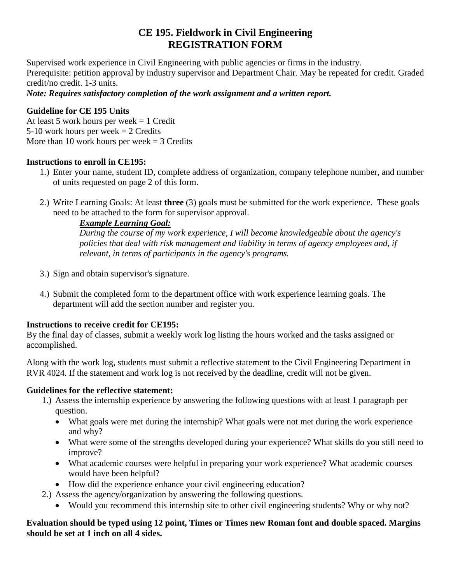# **CE 195. Fieldwork in Civil Engineering REGISTRATION FORM**

Supervised work experience in Civil Engineering with public agencies or firms in the industry. Prerequisite: petition approval by industry supervisor and Department Chair. May be repeated for credit. Graded credit/no credit. 1-3 units.

#### *Note: Requires satisfactory completion of the work assignment and a written report.*

#### **Guideline for CE 195 Units**

At least 5 work hours per week = 1 Credit 5-10 work hours per week  $= 2$  Credits More than 10 work hours per week  $=$  3 Credits

#### **Instructions to enroll in CE195:**

- 1.) Enter your name, student ID, complete address of organization, company telephone number, and number of units requested on page 2 of this form.
- 2.) Write Learning Goals: At least **three** (3) goals must be submitted for the work experience. These goals need to be attached to the form for supervisor approval.

# *Example Learning Goal:*

*During the course of my work experience, I will become knowledgeable about the agency's policies that deal with risk management and liability in terms of agency employees and, if relevant, in terms of participants in the agency's programs.*

- 3.) Sign and obtain supervisor's signature.
- 4.) Submit the completed form to the department office with work experience learning goals. The department will add the section number and register you.

# **Instructions to receive credit for CE195:**

By the final day of classes, submit a weekly work log listing the hours worked and the tasks assigned or accomplished.

Along with the work log, students must submit a reflective statement to the Civil Engineering Department in RVR 4024. If the statement and work log is not received by the deadline, credit will not be given.

# **Guidelines for the reflective statement:**

- 1.) Assess the internship experience by answering the following questions with at least 1 paragraph per question.
	- What goals were met during the internship? What goals were not met during the work experience and why?
	- What were some of the strengths developed during your experience? What skills do you still need to improve?
	- What academic courses were helpful in preparing your work experience? What academic courses would have been helpful?
	- How did the experience enhance your civil engineering education?
- 2.) Assess the agency/organization by answering the following questions.
	- Would you recommend this internship site to other civil engineering students? Why or why not?

#### **Evaluation should be typed using 12 point, Times or Times new Roman font and double spaced. Margins should be set at 1 inch on all 4 sides.**